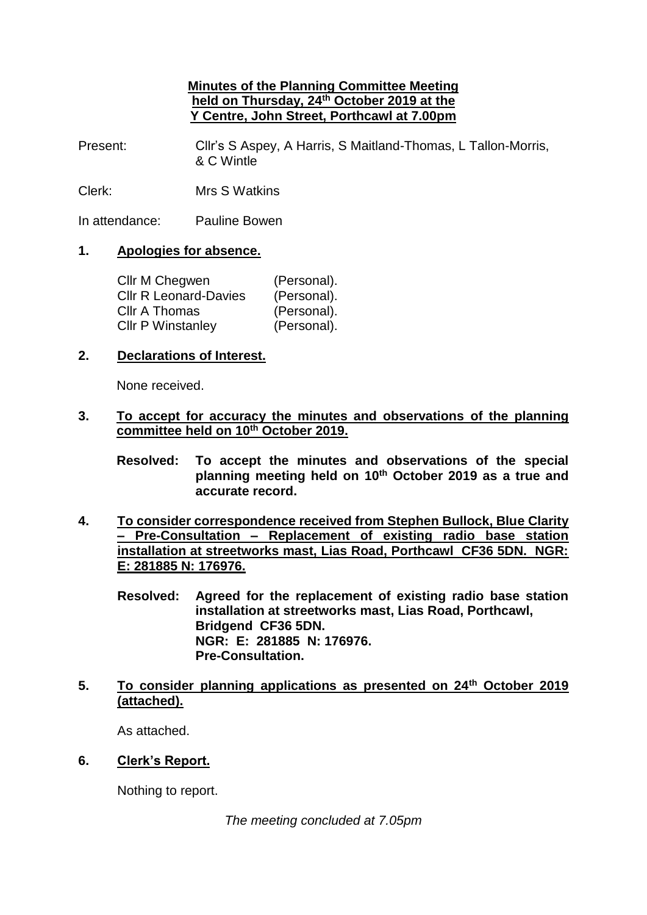## **Minutes of the Planning Committee Meeting held on Thursday, 24th October 2019 at the Y Centre, John Street, Porthcawl at 7.00pm**

Present: Cllr's S Aspey, A Harris, S Maitland-Thomas, L Tallon-Morris, & C Wintle

Clerk: Mrs S Watkins

In attendance: Pauline Bowen

## **1. Apologies for absence.**

| Cllr M Chegwen               | (Personal). |
|------------------------------|-------------|
| <b>CIIr R Leonard-Davies</b> | (Personal). |
| Cllr A Thomas                | (Personal). |
| <b>Cllr P Winstanley</b>     | (Personal). |

### **2. Declarations of Interest.**

None received.

## **3. To accept for accuracy the minutes and observations of the planning committee held on 10th October 2019.**

**Resolved: To accept the minutes and observations of the special planning meeting held on 10 th October 2019 as a true and accurate record.**

- **4. To consider correspondence received from Stephen Bullock, Blue Clarity – Pre-Consultation – Replacement of existing radio base station installation at streetworks mast, Lias Road, Porthcawl CF36 5DN. NGR: E: 281885 N: 176976.**
	- **Resolved: Agreed for the replacement of existing radio base station installation at streetworks mast, Lias Road, Porthcawl, Bridgend CF36 5DN. NGR: E: 281885 N: 176976. Pre-Consultation.**
- **5. To consider planning applications as presented on 24th October 2019 (attached).**

As attached.

**6. Clerk's Report.**

Nothing to report.

*The meeting concluded at 7.05pm*